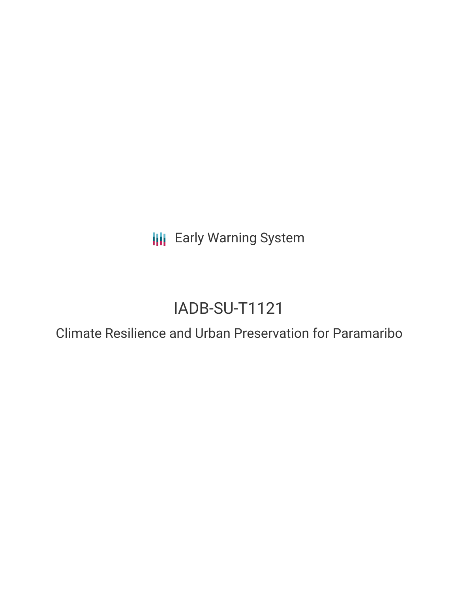**III** Early Warning System

# IADB-SU-T1121

Climate Resilience and Urban Preservation for Paramaribo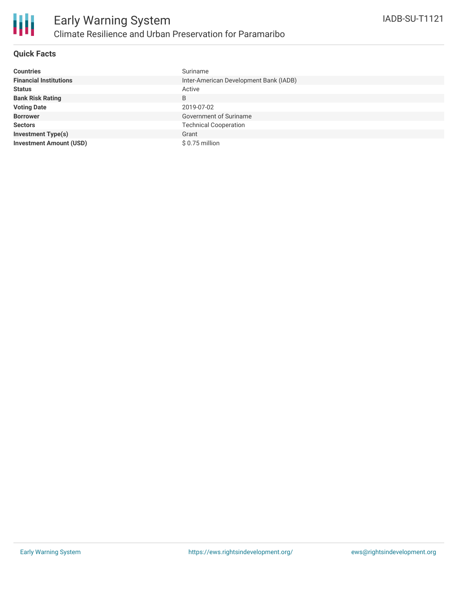

## **Quick Facts**

| <b>Countries</b>               | Suriname                               |
|--------------------------------|----------------------------------------|
| <b>Financial Institutions</b>  | Inter-American Development Bank (IADB) |
| <b>Status</b>                  | Active                                 |
| <b>Bank Risk Rating</b>        | B                                      |
| <b>Voting Date</b>             | 2019-07-02                             |
| <b>Borrower</b>                | Government of Suriname                 |
| <b>Sectors</b>                 | <b>Technical Cooperation</b>           |
| <b>Investment Type(s)</b>      | Grant                                  |
| <b>Investment Amount (USD)</b> | $$0.75$ million                        |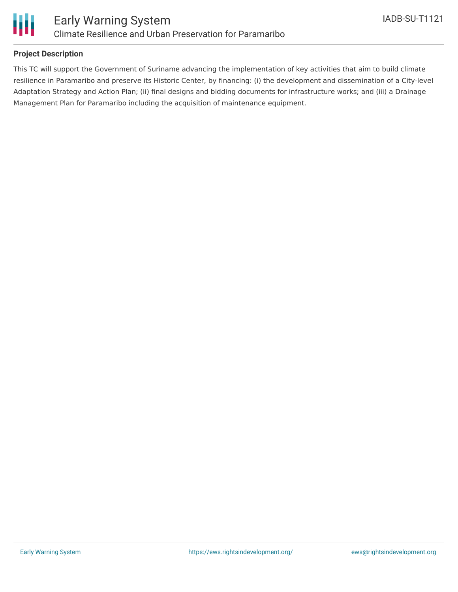

## **Project Description**

This TC will support the Government of Suriname advancing the implementation of key activities that aim to build climate resilience in Paramaribo and preserve its Historic Center, by financing: (i) the development and dissemination of a City-level Adaptation Strategy and Action Plan; (ii) final designs and bidding documents for infrastructure works; and (iii) a Drainage Management Plan for Paramaribo including the acquisition of maintenance equipment.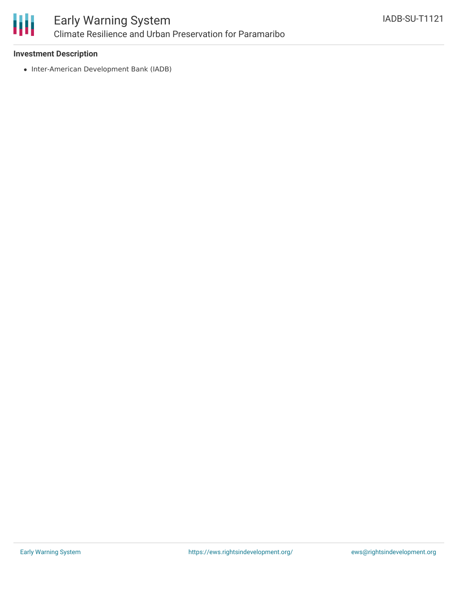

### **Investment Description**

• Inter-American Development Bank (IADB)